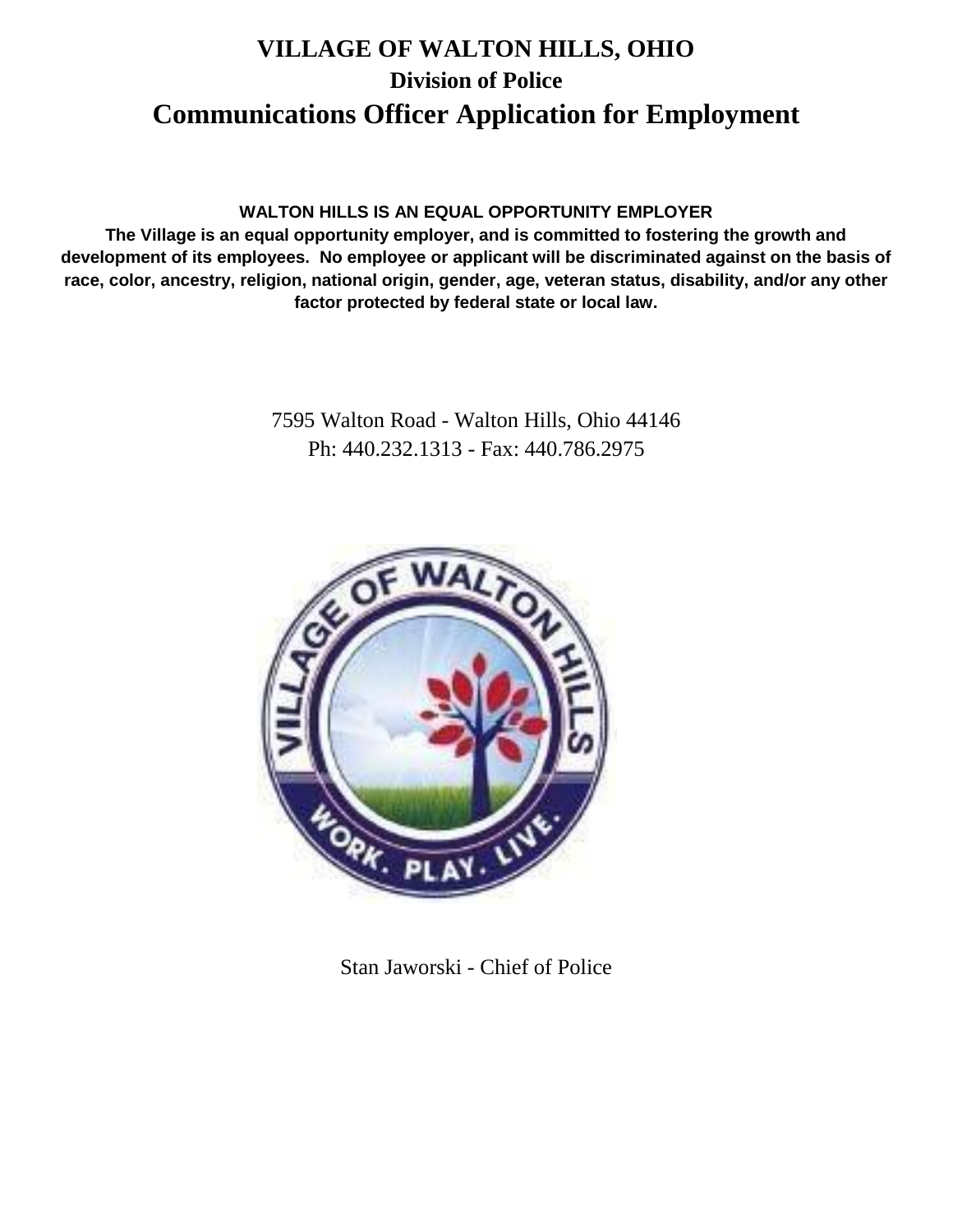# **VILLAGE OF WALTON HILLS, OHIO Division of Police Communications Officer Application for Employment**

### **WALTON HILLS IS AN EQUAL OPPORTUNITY EMPLOYER**

**The Village is an equal opportunity employer, and is committed to fostering the growth and development of its employees. No employee or applicant will be discriminated against on the basis of race, color, ancestry, religion, national origin, gender, age, veteran status, disability, and/or any other factor protected by federal state or local law.**

> 7595 Walton Road - Walton Hills, Ohio 44146 Ph: 440.232.1313 - Fax: 440.786.2975



Stan Jaworski - Chief of Police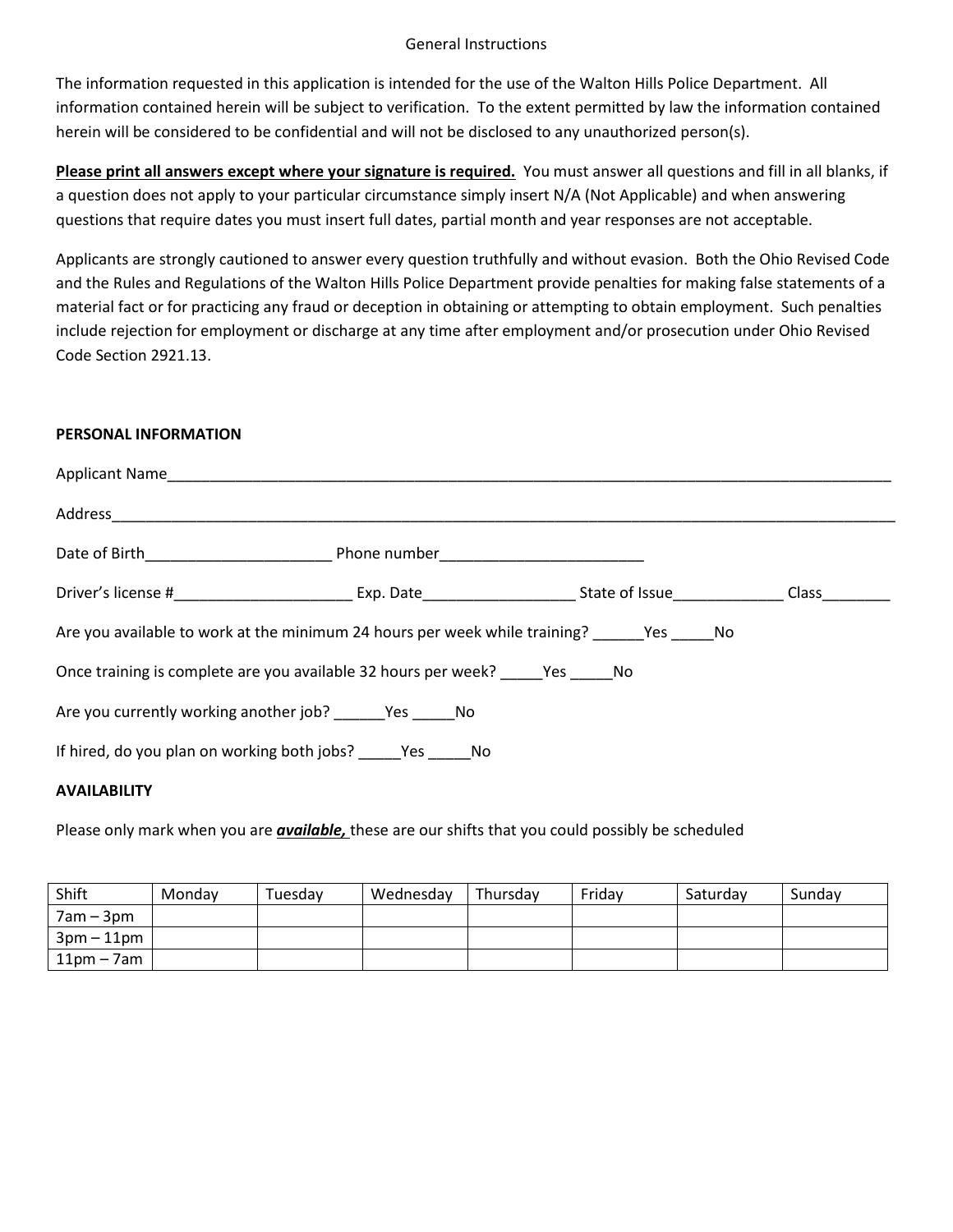#### General Instructions

The information requested in this application is intended for the use of the Walton Hills Police Department. All information contained herein will be subject to verification. To the extent permitted by law the information contained herein will be considered to be confidential and will not be disclosed to any unauthorized person(s).

**Please print all answers except where your signature is required.** You must answer all questions and fill in all blanks, if a question does not apply to your particular circumstance simply insert N/A (Not Applicable) and when answering questions that require dates you must insert full dates, partial month and year responses are not acceptable.

Applicants are strongly cautioned to answer every question truthfully and without evasion. Both the Ohio Revised Code and the Rules and Regulations of the Walton Hills Police Department provide penalties for making false statements of a material fact or for practicing any fraud or deception in obtaining or attempting to obtain employment. Such penalties include rejection for employment or discharge at any time after employment and/or prosecution under Ohio Revised Code Section 2921.13.

### **PERSONAL INFORMATION**

| Are you available to work at the minimum 24 hours per week while training? Yes No |  |  |  |  |
|-----------------------------------------------------------------------------------|--|--|--|--|
| Once training is complete are you available 32 hours per week? Yes No             |  |  |  |  |
| Are you currently working another job? Yes No                                     |  |  |  |  |
| If hired, do you plan on working both jobs? _______ Yes ______ No                 |  |  |  |  |
|                                                                                   |  |  |  |  |

### **AVAILABILITY**

Please only mark when you are *available,* these are our shifts that you could possibly be scheduled

| Shift                        | Monday | Tuesdav | Wednesday | Thursday | Friday | Saturdav | Sunday |
|------------------------------|--------|---------|-----------|----------|--------|----------|--------|
| $7am - 3pm$                  |        |         |           |          |        |          |        |
| $3 \text{pm} - 11 \text{pm}$ |        |         |           |          |        |          |        |
| $11pm - 7am$                 |        |         |           |          |        |          |        |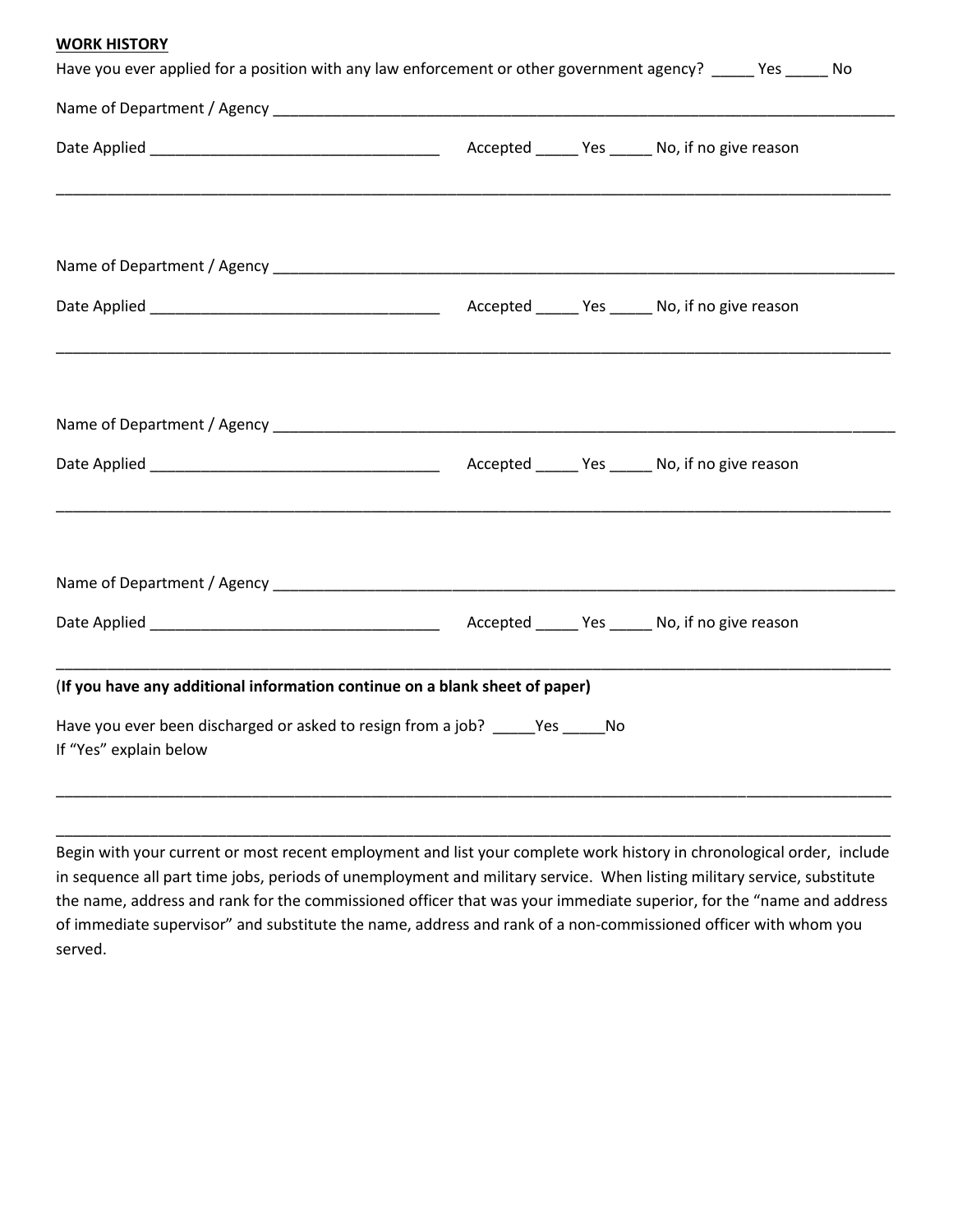#### **WORK HISTORY**

| Have you ever applied for a position with any law enforcement or other government agency? _____ Yes _____ No |  |  |  |  |  |
|--------------------------------------------------------------------------------------------------------------|--|--|--|--|--|
|                                                                                                              |  |  |  |  |  |
|                                                                                                              |  |  |  |  |  |
|                                                                                                              |  |  |  |  |  |
| ,我们也不能在这里的时候,我们也不能在这里的时候,我们也不能会在这里的时候,我们也不能会在这里的时候,我们也不能会在这里的时候,我们也不能会在这里的时候,我们也不                            |  |  |  |  |  |
|                                                                                                              |  |  |  |  |  |
|                                                                                                              |  |  |  |  |  |
|                                                                                                              |  |  |  |  |  |
|                                                                                                              |  |  |  |  |  |
| (If you have any additional information continue on a blank sheet of paper)                                  |  |  |  |  |  |
| Have you ever been discharged or asked to resign from a job? ______ Yes ______ No<br>If "Yes" explain below  |  |  |  |  |  |
|                                                                                                              |  |  |  |  |  |
|                                                                                                              |  |  |  |  |  |

Begin with your current or most recent employment and list your complete work history in chronological order, include in sequence all part time jobs, periods of unemployment and military service. When listing military service, substitute the name, address and rank for the commissioned officer that was your immediate superior, for the "name and address of immediate supervisor" and substitute the name, address and rank of a non-commissioned officer with whom you served.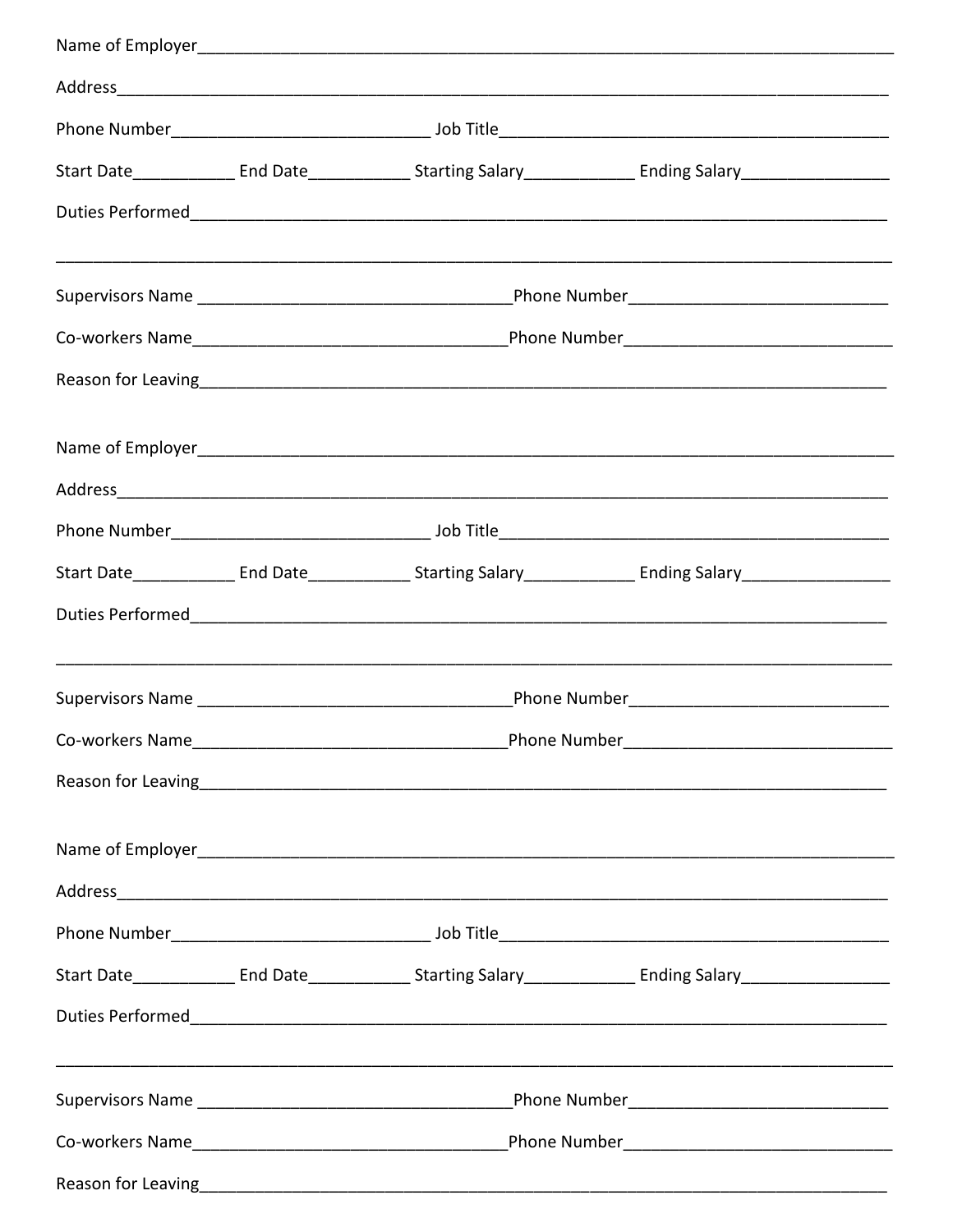|  |  | Reason for Leaving <u>contained by the contractor</u> and the contractor of the contractor of the contractor of the contractor of the contractor of the contractor of the contractor of the contractor of the contractor of the con |  |
|--|--|-------------------------------------------------------------------------------------------------------------------------------------------------------------------------------------------------------------------------------------|--|
|  |  |                                                                                                                                                                                                                                     |  |
|  |  |                                                                                                                                                                                                                                     |  |
|  |  |                                                                                                                                                                                                                                     |  |
|  |  |                                                                                                                                                                                                                                     |  |
|  |  |                                                                                                                                                                                                                                     |  |
|  |  |                                                                                                                                                                                                                                     |  |
|  |  |                                                                                                                                                                                                                                     |  |
|  |  |                                                                                                                                                                                                                                     |  |
|  |  |                                                                                                                                                                                                                                     |  |
|  |  | Address and the contract of the contract of the contract of the contract of the contract of the contract of the contract of the contract of the contract of the contract of the contract of the contract of the contract of th      |  |
|  |  |                                                                                                                                                                                                                                     |  |
|  |  |                                                                                                                                                                                                                                     |  |
|  |  |                                                                                                                                                                                                                                     |  |
|  |  |                                                                                                                                                                                                                                     |  |
|  |  |                                                                                                                                                                                                                                     |  |
|  |  |                                                                                                                                                                                                                                     |  |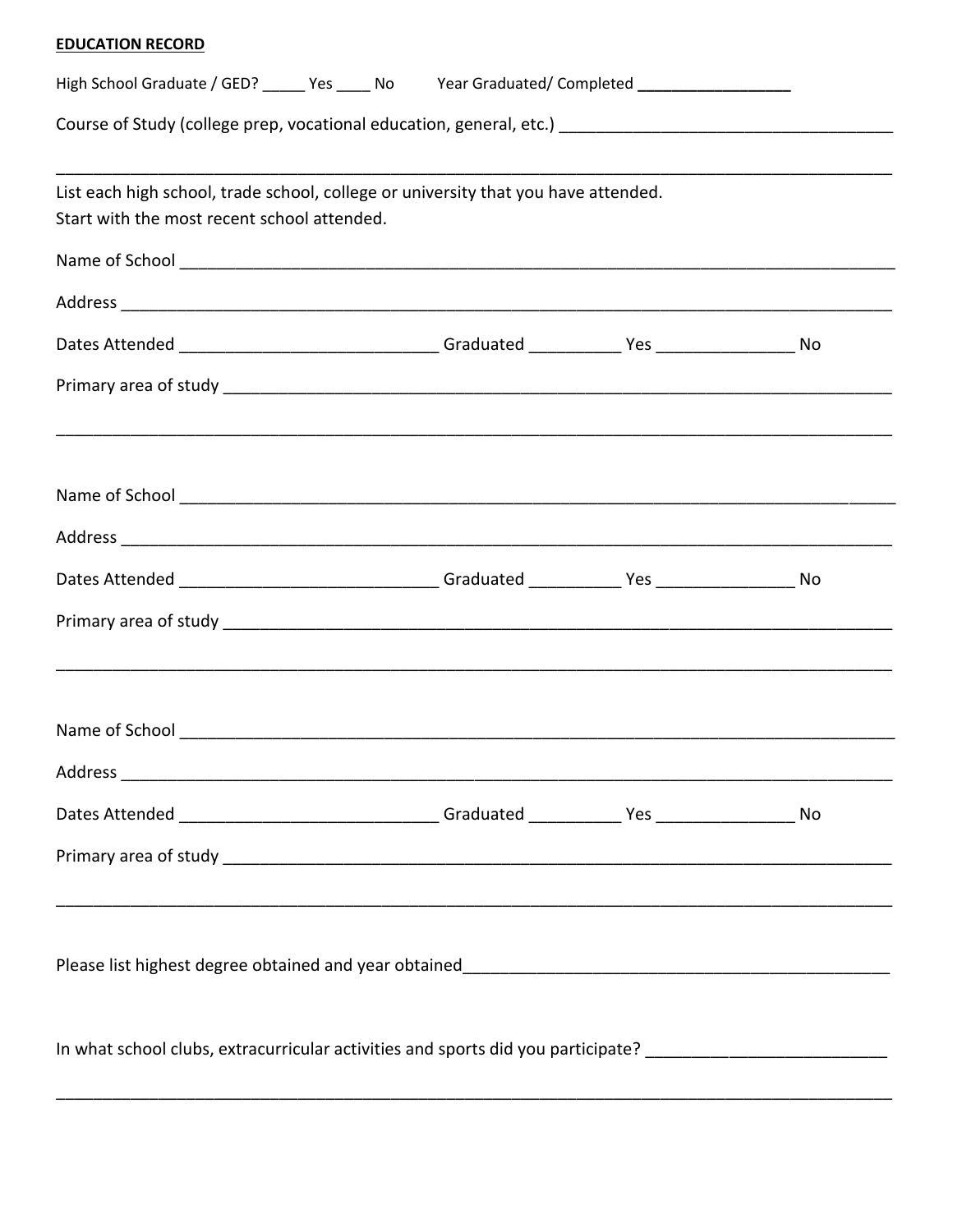### **EDUCATION RECORD**

| High School Graduate / GED? ______ Yes _____ No Year Graduated/ Completed ____________________                                                                                                                                |  |  |  |  |
|-------------------------------------------------------------------------------------------------------------------------------------------------------------------------------------------------------------------------------|--|--|--|--|
| Course of Study (college prep, vocational education, general, etc.) [1001] [2012] [2012] [2012] [2012] [2012] [                                                                                                               |  |  |  |  |
| List each high school, trade school, college or university that you have attended.<br>Start with the most recent school attended.                                                                                             |  |  |  |  |
|                                                                                                                                                                                                                               |  |  |  |  |
|                                                                                                                                                                                                                               |  |  |  |  |
| Dates Attended _______________________________Graduated ____________Yes ____________________No                                                                                                                                |  |  |  |  |
|                                                                                                                                                                                                                               |  |  |  |  |
| Name of School entry and the set of School entry and the set of the set of the set of the set of the set of the set of the set of the set of the set of the set of the set of the set of the set of the set of the set of the |  |  |  |  |
|                                                                                                                                                                                                                               |  |  |  |  |
| Dates Attended _____________________________Graduated ____________Yes ______________________No                                                                                                                                |  |  |  |  |
|                                                                                                                                                                                                                               |  |  |  |  |
|                                                                                                                                                                                                                               |  |  |  |  |
|                                                                                                                                                                                                                               |  |  |  |  |
| Dates Attended _______________________________Graduated ____________Yes ______________________No                                                                                                                              |  |  |  |  |
| <u> 1989 - Jan James James James James James James James James James James James James James James James James J</u>                                                                                                          |  |  |  |  |
|                                                                                                                                                                                                                               |  |  |  |  |
| In what school clubs, extracurricular activities and sports did you participate? _____________________________                                                                                                                |  |  |  |  |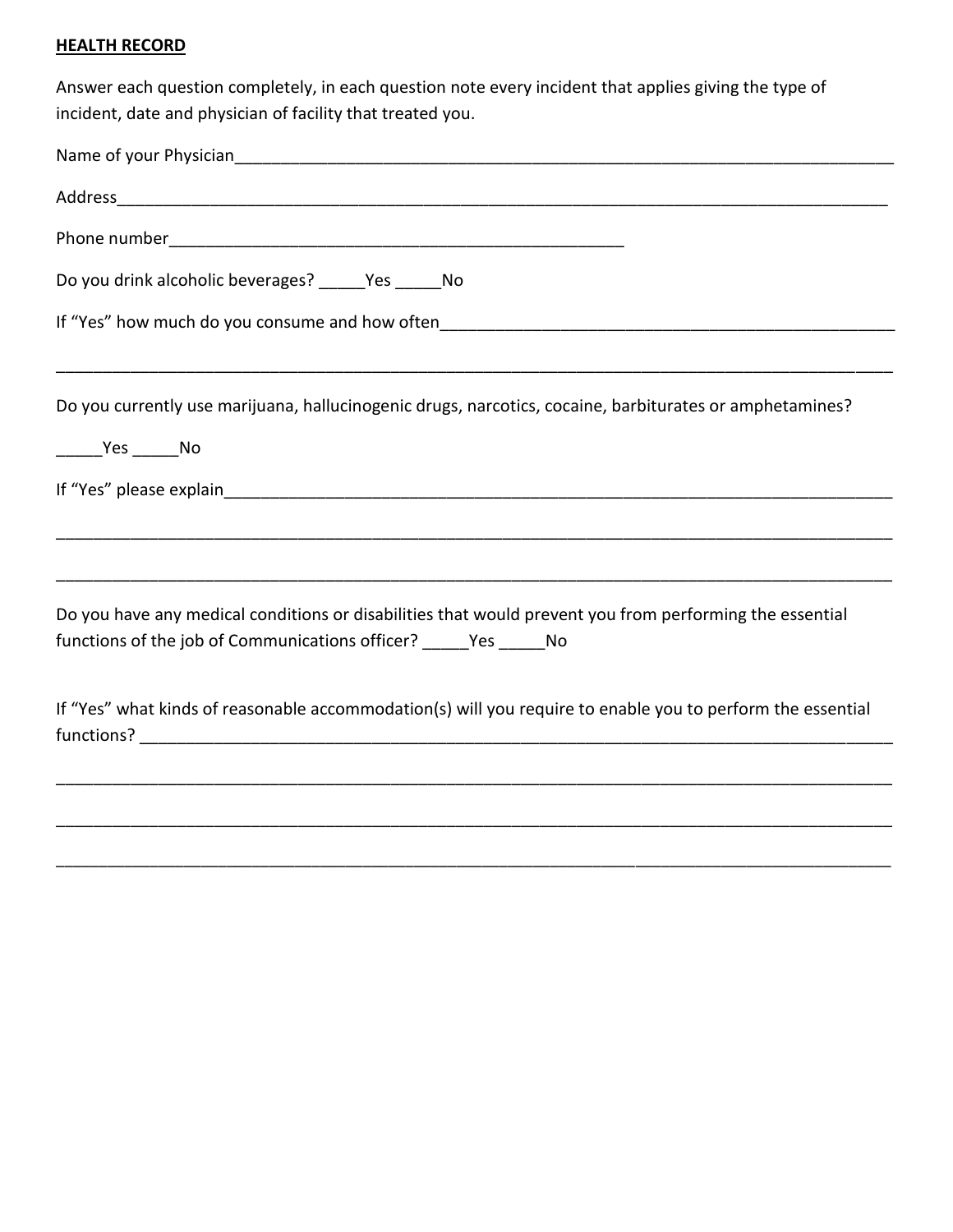### **HEALTH RECORD**

Answer each question completely, in each question note every incident that applies giving the type of incident, date and physician of facility that treated you.

| Do you drink alcoholic beverages? _____Yes _____No                                                                                                                                                         |
|------------------------------------------------------------------------------------------------------------------------------------------------------------------------------------------------------------|
|                                                                                                                                                                                                            |
| <u> 1980 - Jan Lander, amerikansk politik (d. 1980)</u><br>Do you currently use marijuana, hallucinogenic drugs, narcotics, cocaine, barbiturates or amphetamines?<br>$\rule{1em}{0.15mm}$ Yes ________ No |
|                                                                                                                                                                                                            |
| Do you have any medical conditions or disabilities that would prevent you from performing the essential<br>functions of the job of Communications officer? ______ Yes ______ No                            |
| If "Yes" what kinds of reasonable accommodation(s) will you require to enable you to perform the essential                                                                                                 |
|                                                                                                                                                                                                            |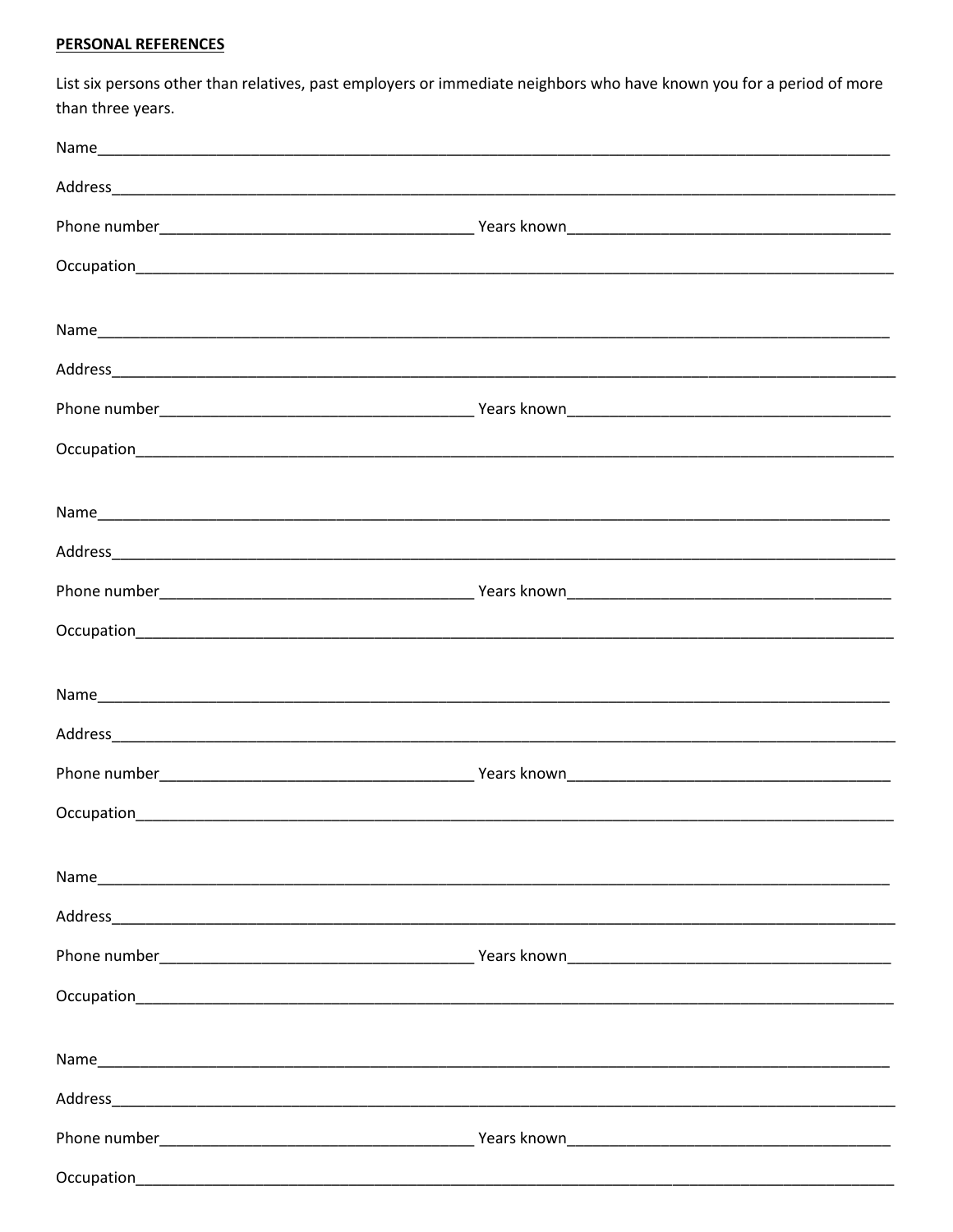## **PERSONAL REFERENCES**

List six persons other than relatives, past employers or immediate neighbors who have known you for a period of more than three years.

| Occupation and the contract of the contract of the contract of the contract of the contract of the contract of |  |
|----------------------------------------------------------------------------------------------------------------|--|
|                                                                                                                |  |
|                                                                                                                |  |
|                                                                                                                |  |
|                                                                                                                |  |
|                                                                                                                |  |
|                                                                                                                |  |
|                                                                                                                |  |
|                                                                                                                |  |
|                                                                                                                |  |
|                                                                                                                |  |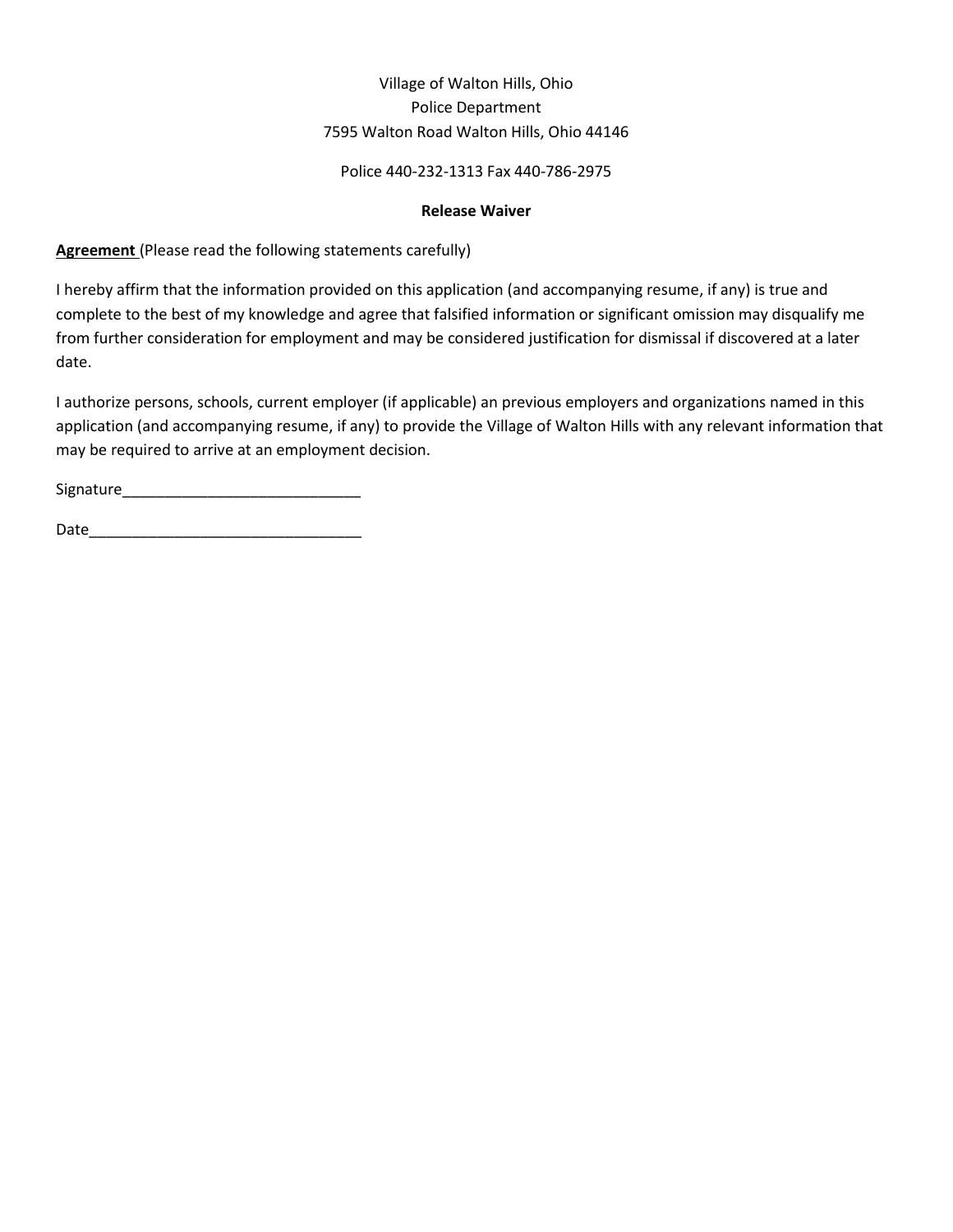### Village of Walton Hills, Ohio Police Department 7595 Walton Road Walton Hills, Ohio 44146

#### Police 440-232-1313 Fax 440-786-2975

#### **Release Waiver**

**Agreement** (Please read the following statements carefully)

I hereby affirm that the information provided on this application (and accompanying resume, if any) is true and complete to the best of my knowledge and agree that falsified information or significant omission may disqualify me from further consideration for employment and may be considered justification for dismissal if discovered at a later date.

I authorize persons, schools, current employer (if applicable) an previous employers and organizations named in this application (and accompanying resume, if any) to provide the Village of Walton Hills with any relevant information that may be required to arrive at an employment decision.

Signature\_\_\_\_\_\_\_\_\_\_\_\_\_\_\_\_\_\_\_\_\_\_\_\_\_\_\_\_

Date\_\_\_\_\_\_\_\_\_\_\_\_\_\_\_\_\_\_\_\_\_\_\_\_\_\_\_\_\_\_\_\_